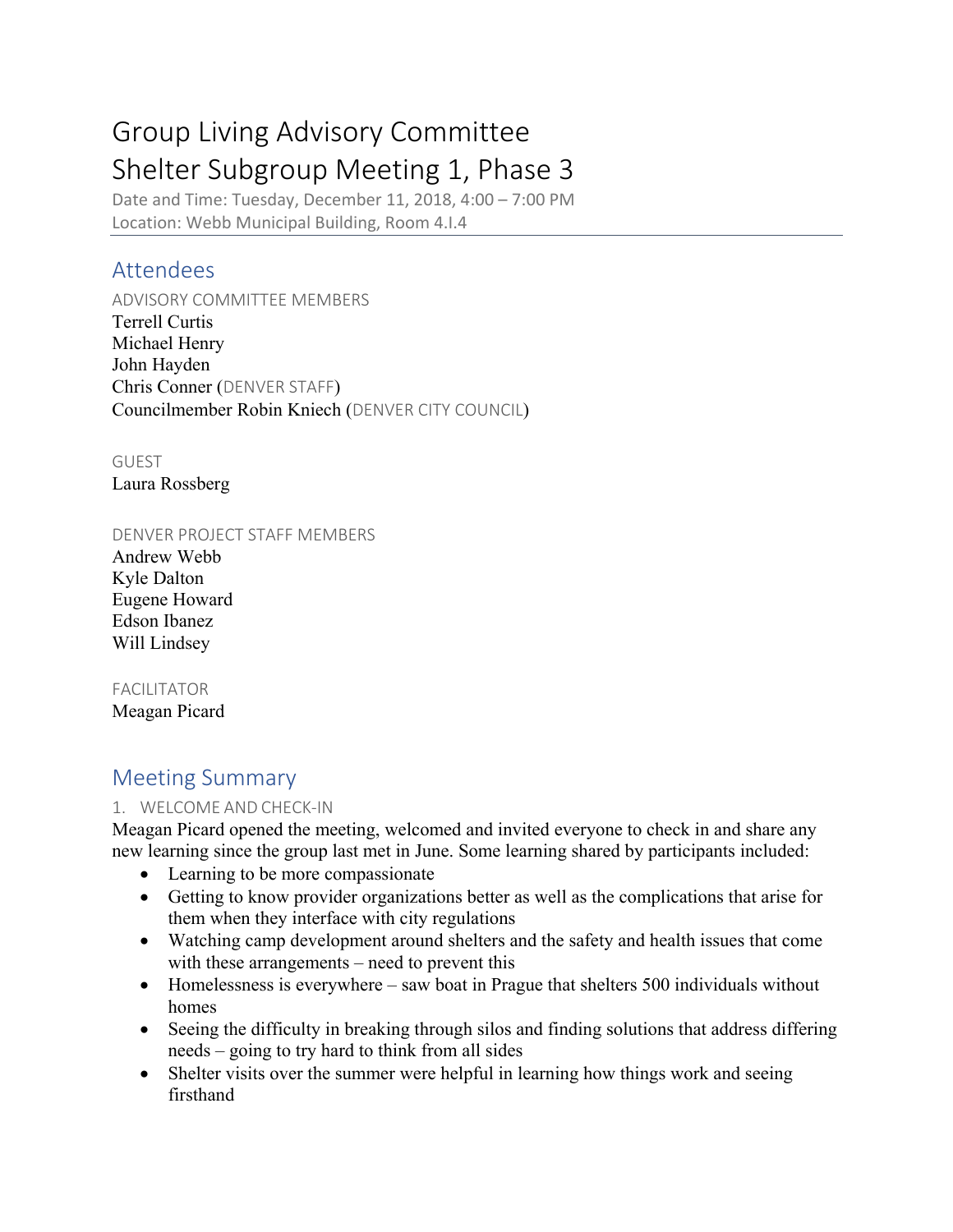# Group Living Advisory Committee Shelter Subgroup Meeting 1, Phase 3

Date and Time: Tuesday, December 11, 2018, 4:00 – 7:00 PM Location: Webb Municipal Building, Room 4.I.4

# Attendees

ADVISORY COMMITTEE MEMBERS Terrell Curtis Michael Henry John Hayden Chris Conner (DENVER STAFF) Councilmember Robin Kniech (DENVER CITY COUNCIL)

GUEST Laura Rossberg

#### DENVER PROJECT STAFF MEMBERS

Andrew Webb Kyle Dalton Eugene Howard Edson Ibanez Will Lindsey

# FACILITATOR

Meagan Picard

# Meeting Summary

## 1. WELCOME AND CHECK-IN

Meagan Picard opened the meeting, welcomed and invited everyone to check in and share any new learning since the group last met in June. Some learning shared by participants included:

- Learning to be more compassionate
- Getting to know provider organizations better as well as the complications that arise for them when they interface with city regulations
- Watching camp development around shelters and the safety and health issues that come with these arrangements – need to prevent this
- Homelessness is everywhere saw boat in Prague that shelters 500 individuals without homes
- Seeing the difficulty in breaking through silos and finding solutions that address differing needs – going to try hard to think from all sides
- Shelter visits over the summer were helpful in learning how things work and seeing firsthand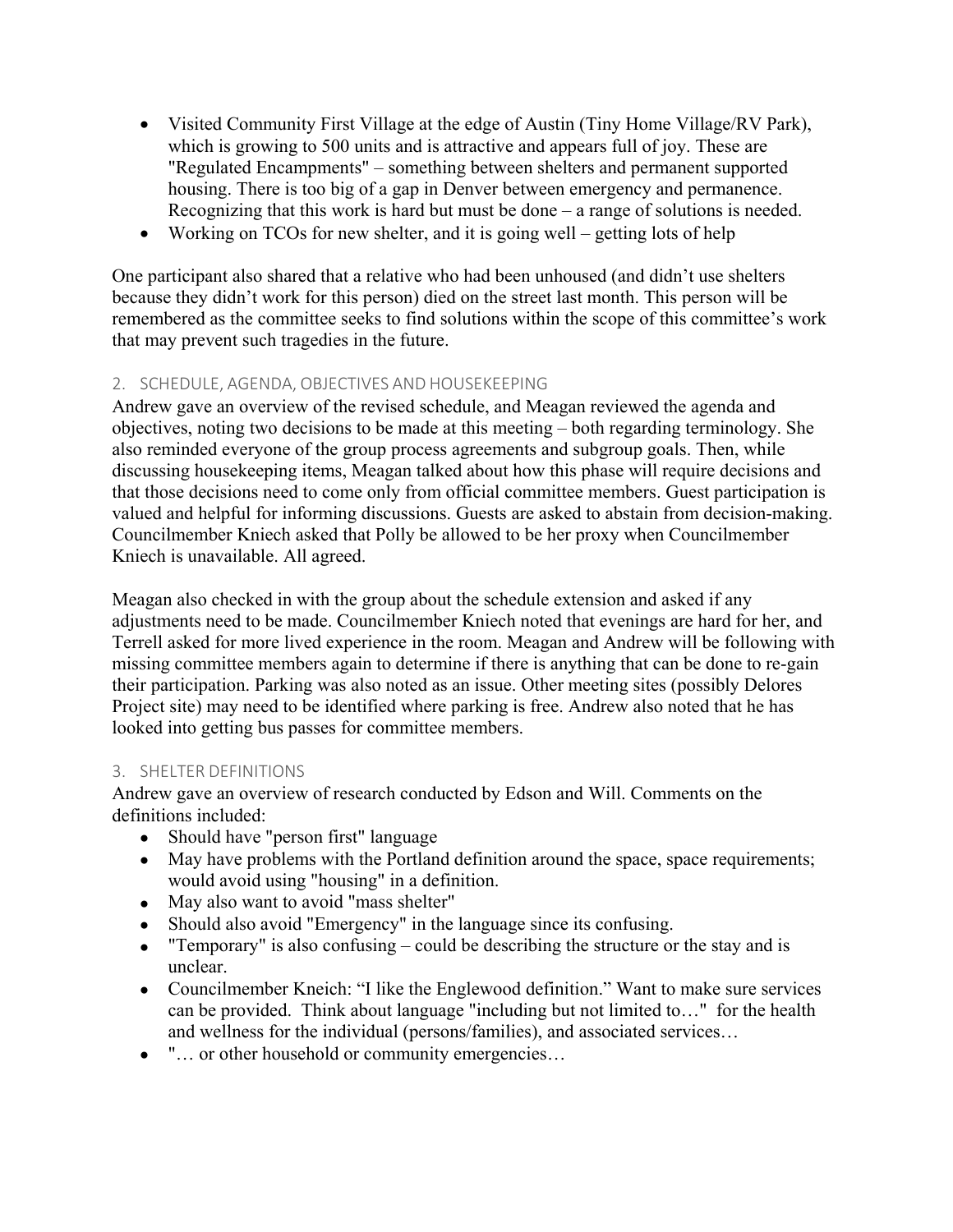- Visited Community First Village at the edge of Austin (Tiny Home Village/RV Park), which is growing to 500 units and is attractive and appears full of joy. These are "Regulated Encampments" – something between shelters and permanent supported housing. There is too big of a gap in Denver between emergency and permanence. Recognizing that this work is hard but must be done – a range of solutions is needed.
- Working on TCOs for new shelter, and it is going well getting lots of help

One participant also shared that a relative who had been unhoused (and didn't use shelters because they didn't work for this person) died on the street last month. This person will be remembered as the committee seeks to find solutions within the scope of this committee's work that may prevent such tragedies in the future.

## 2. SCHEDULE, AGENDA, OBJECTIVES AND HOUSEKEEPING

Andrew gave an overview of the revised schedule, and Meagan reviewed the agenda and objectives, noting two decisions to be made at this meeting – both regarding terminology. She also reminded everyone of the group process agreements and subgroup goals. Then, while discussing housekeeping items, Meagan talked about how this phase will require decisions and that those decisions need to come only from official committee members. Guest participation is valued and helpful for informing discussions. Guests are asked to abstain from decision-making. Councilmember Kniech asked that Polly be allowed to be her proxy when Councilmember Kniech is unavailable. All agreed.

Meagan also checked in with the group about the schedule extension and asked if any adjustments need to be made. Councilmember Kniech noted that evenings are hard for her, and Terrell asked for more lived experience in the room. Meagan and Andrew will be following with missing committee members again to determine if there is anything that can be done to re-gain their participation. Parking was also noted as an issue. Other meeting sites (possibly Delores Project site) may need to be identified where parking is free. Andrew also noted that he has looked into getting bus passes for committee members.

#### 3. SHELTER DEFINITIONS

Andrew gave an overview of research conducted by Edson and Will. Comments on the definitions included:

- Should have "person first" language
- May have problems with the Portland definition around the space, space requirements; would avoid using "housing" in a definition.
- May also want to avoid "mass shelter"
- Should also avoid "Emergency" in the language since its confusing.
- "Temporary" is also confusing could be describing the structure or the stay and is unclear.
- Councilmember Kneich: "I like the Englewood definition." Want to make sure services can be provided. Think about language "including but not limited to…" for the health and wellness for the individual (persons/families), and associated services…
- "... or other household or community emergencies...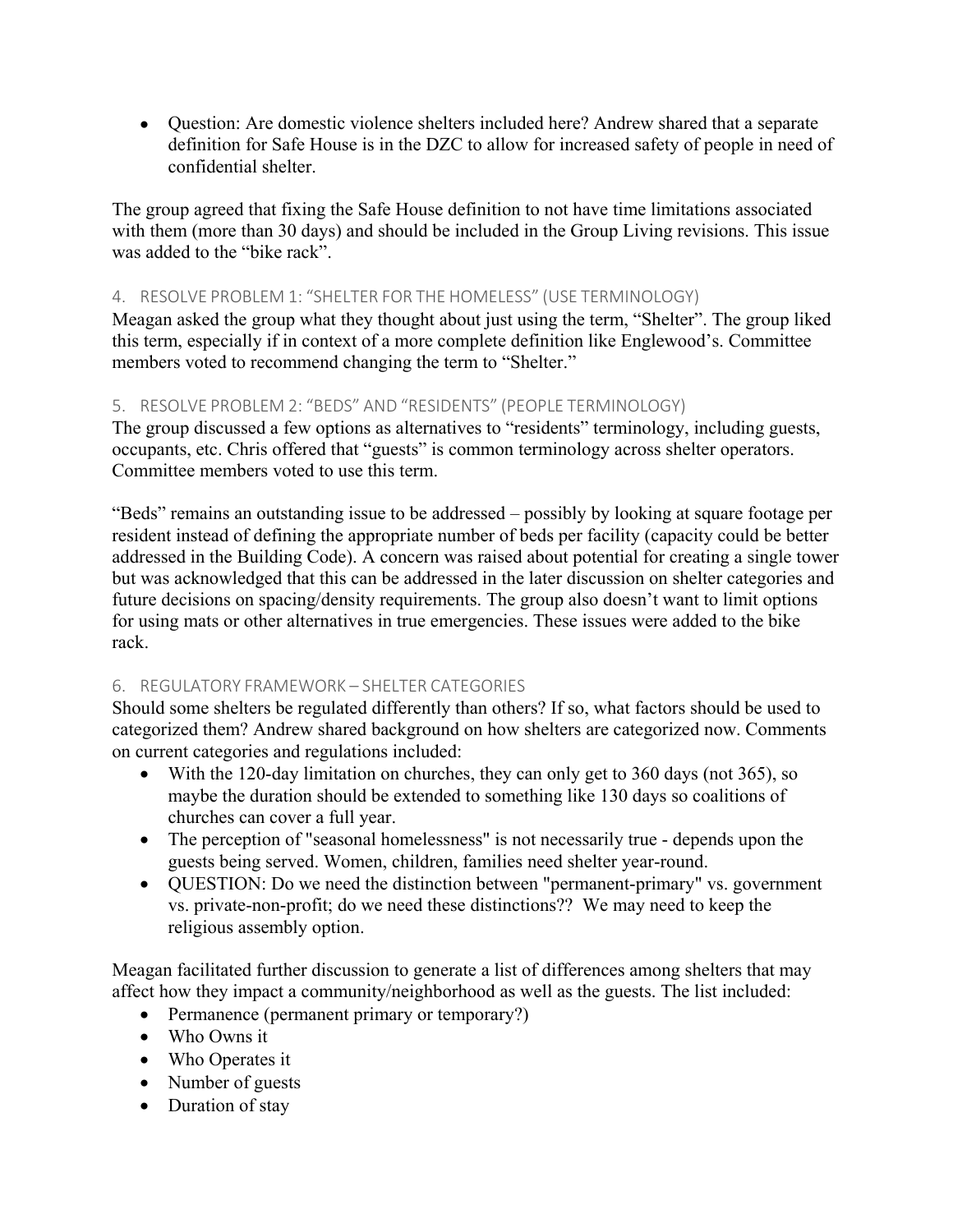• Question: Are domestic violence shelters included here? Andrew shared that a separate definition for Safe House is in the DZC to allow for increased safety of people in need of confidential shelter.

The group agreed that fixing the Safe House definition to not have time limitations associated with them (more than 30 days) and should be included in the Group Living revisions. This issue was added to the "bike rack".

#### 4. RESOLVE PROBLEM 1: "SHELTER FOR THE HOMELESS" (USE TERMINOLOGY)

Meagan asked the group what they thought about just using the term, "Shelter". The group liked this term, especially if in context of a more complete definition like Englewood's. Committee members voted to recommend changing the term to "Shelter."

#### 5. RESOLVE PROBLEM 2: "BEDS" AND "RESIDENTS" (PEOPLE TERMINOLOGY)

The group discussed a few options as alternatives to "residents" terminology, including guests, occupants, etc. Chris offered that "guests" is common terminology across shelter operators. Committee members voted to use this term.

"Beds" remains an outstanding issue to be addressed – possibly by looking at square footage per resident instead of defining the appropriate number of beds per facility (capacity could be better addressed in the Building Code). A concern was raised about potential for creating a single tower but was acknowledged that this can be addressed in the later discussion on shelter categories and future decisions on spacing/density requirements. The group also doesn't want to limit options for using mats or other alternatives in true emergencies. These issues were added to the bike rack.

## 6. REGULATORY FRAMEWORK – SHELTER CATEGORIES

Should some shelters be regulated differently than others? If so, what factors should be used to categorized them? Andrew shared background on how shelters are categorized now. Comments on current categories and regulations included:

- With the 120-day limitation on churches, they can only get to 360 days (not 365), so maybe the duration should be extended to something like 130 days so coalitions of churches can cover a full year.
- The perception of "seasonal homelessness" is not necessarily true depends upon the guests being served. Women, children, families need shelter year-round.
- QUESTION: Do we need the distinction between "permanent-primary" vs. government vs. private-non-profit; do we need these distinctions?? We may need to keep the religious assembly option.

Meagan facilitated further discussion to generate a list of differences among shelters that may affect how they impact a community/neighborhood as well as the guests. The list included:

- Permanence (permanent primary or temporary?)
- Who Owns it
- Who Operates it
- Number of guests
- Duration of stay